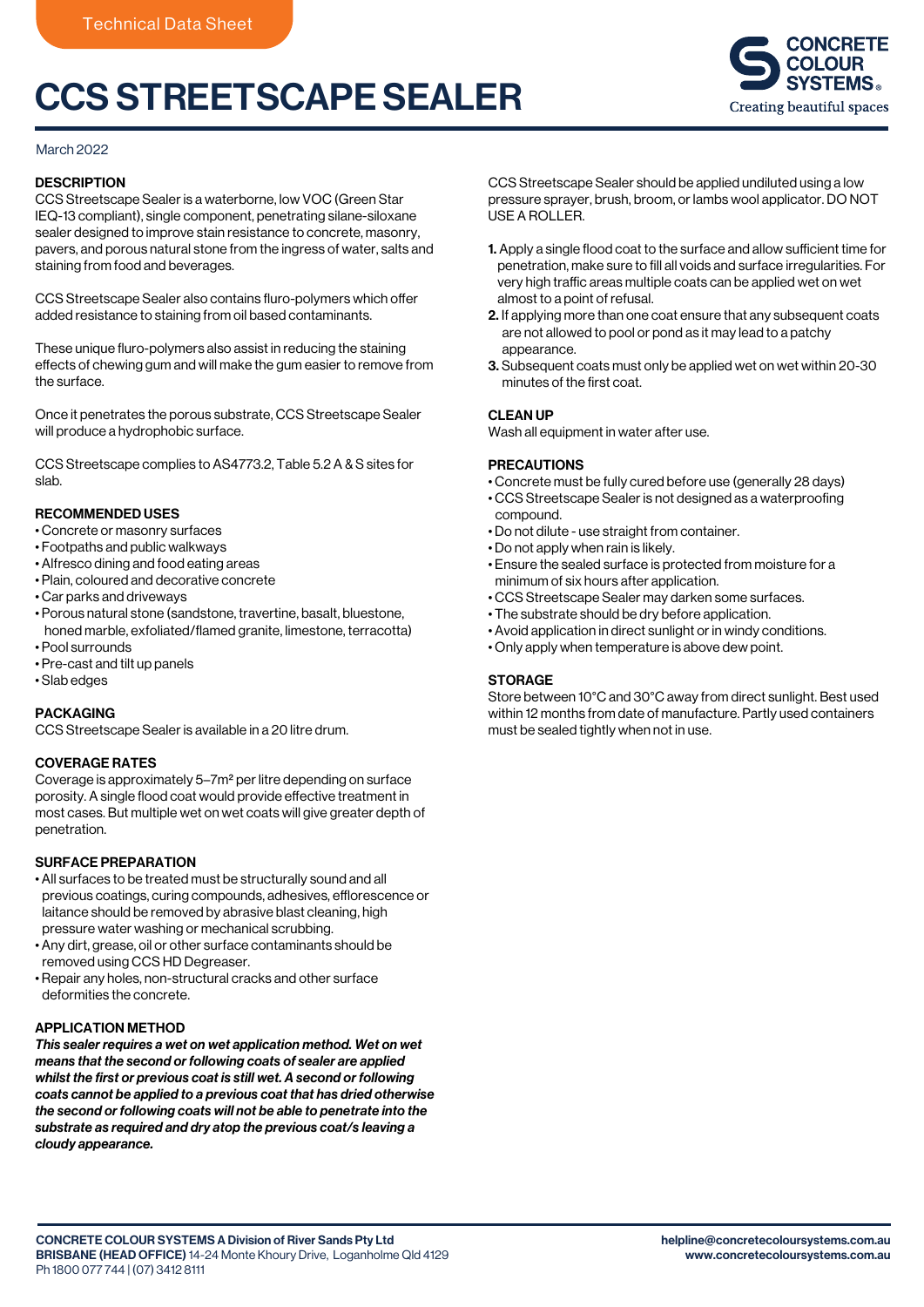# CCS STREETSCAPE SEALER



# March 2022

# **DESCRIPTION**

CCS Streetscape Sealer is a waterborne, low VOC (Green Star IEQ-13 compliant), single component, penetrating silane-siloxane sealer designed to improve stain resistance to concrete, masonry, pavers, and porous natural stone from the ingress of water, salts and staining from food and beverages.

CCS Streetscape Sealer also contains fluro-polymers which offer added resistance to staining from oil based contaminants.

These unique fluro-polymers also assist in reducing the staining effects of chewing gum and will make the gum easier to remove from the surface.

Once it penetrates the porous substrate, CCS Streetscape Sealer will produce a hydrophobic surface.

CCS Streetscape complies to AS4773.2, Table 5.2 A & S sites for slab.

# RECOMMENDED USES

- Concrete or masonry surfaces
- Footpaths and public walkways
- Alfresco dining and food eating areas
- Plain, coloured and decorative concrete
- Car parks and driveways
- Porous natural stone (sandstone, travertine, basalt, bluestone, honed marble, exfoliated/flamed granite, limestone, terracotta) • Pool surrounds
- Pre-cast and tilt up panels
- Slab edges

# PACKAGING

CCS Streetscape Sealer is available in a 20 litre drum.

# COVERAGE RATES

Coverage is approximately 5–7m2 per litre depending on surface porosity. A single flood coat would provide effective treatment in most cases. But multiple wet on wet coats will give greater depth of penetration.

# SURFACE PREPARATION

- All surfaces to be treated must be structurally sound and all previous coatings, curing compounds, adhesives, efflorescence or laitance should be removed by abrasive blast cleaning, high pressure water washing or mechanical scrubbing.
- Any dirt, grease, oil or other surface contaminants should be removed using CCS HD Degreaser.
- Repair any holes, non-structural cracks and other surface deformities the concrete.

# APPLICATION METHOD

*This sealer requires a wet on wet application method. Wet on wet means that the second or following coats of sealer are applied whilst the first or previous coat is still wet. A second or following coats cannot be applied to a previous coat that has dried otherwise the second or following coats will not be able to penetrate into the substrate as required and dry atop the previous coat/s leaving a cloudy appearance.*

CCS Streetscape Sealer should be applied undiluted using a low pressure sprayer, brush, broom, or lambs wool applicator. DO NOT USE A ROLLER.

- 1. Apply a single flood coat to the surface and allow sufficient time for penetration, make sure to fill all voids and surface irregularities. For very high traffic areas multiple coats can be applied wet on wet almost to a point of refusal.
- 2. If applying more than one coat ensure that any subsequent coats are not allowed to pool or pond as it may lead to a patchy appearance.
- 3. Subsequent coats must only be applied wet on wet within 20-30 minutes of the first coat.

#### CLEAN UP

Wash all equipment in water after use.

#### PRECAUTIONS

- Concrete must be fully cured before use (generally 28 days)
- CCS Streetscape Sealer is not designed as a waterproofing compound.
- Do not dilute use straight from container.
- Do not apply when rain is likely.
- Ensure the sealed surface is protected from moisture for a minimum of six hours after application.
- CCS Streetscape Sealer may darken some surfaces.
- The substrate should be dry before application.
- Avoid application in direct sunlight or in windy conditions.
- Only apply when temperature is above dew point.

# **STORAGE**

Store between 10°C and 30°C away from direct sunlight. Best used within 12 months from date of manufacture. Partly used containers must be sealed tightly when not in use.